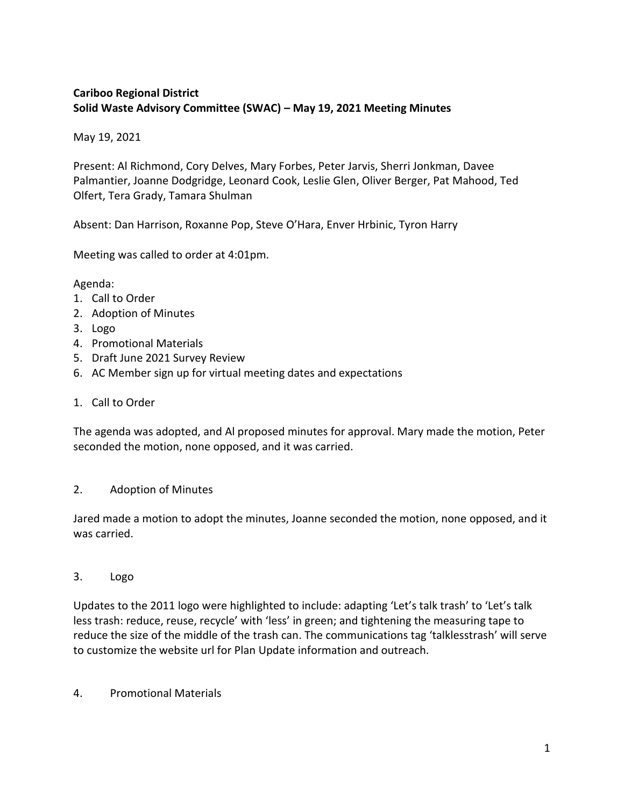# **Cariboo Regional District Solid Waste Advisory Committee (SWAC) – May 19, 2021 Meeting Minutes**

May 19, 2021

Present: Al Richmond, Cory Delves, Mary Forbes, Peter Jarvis, Sherri Jonkman, Davee Palmantier, Joanne Dodgridge, Leonard Cook, Leslie Glen, Oliver Berger, Pat Mahood, Ted Olfert, Tera Grady, Tamara Shulman

Absent: Dan Harrison, Roxanne Pop, Steve O'Hara, Enver Hrbinic, Tyron Harry

Meeting was called to order at 4:01pm.

## Agenda:

- 1. Call to Order
- 2. Adoption of Minutes
- 3. Logo
- 4. Promotional Materials
- 5. Draft June 2021 Survey Review
- 6. AC Member sign up for virtual meeting dates and expectations
- 1. Call to Order

The agenda was adopted, and Al proposed minutes for approval. Mary made the motion, Peter seconded the motion, none opposed, and it was carried.

#### 2. Adoption of Minutes

Jared made a motion to adopt the minutes, Joanne seconded the motion, none opposed, and it was carried.

3. Logo

Updates to the 2011 logo were highlighted to include: adapting 'Let's talk trash' to 'Let's talk less trash: reduce, reuse, recycle' with 'less' in green; and tightening the measuring tape to reduce the size of the middle of the trash can. The communications tag 'talklesstrash' will serve to customize the website url for Plan Update information and outreach.

4. Promotional Materials